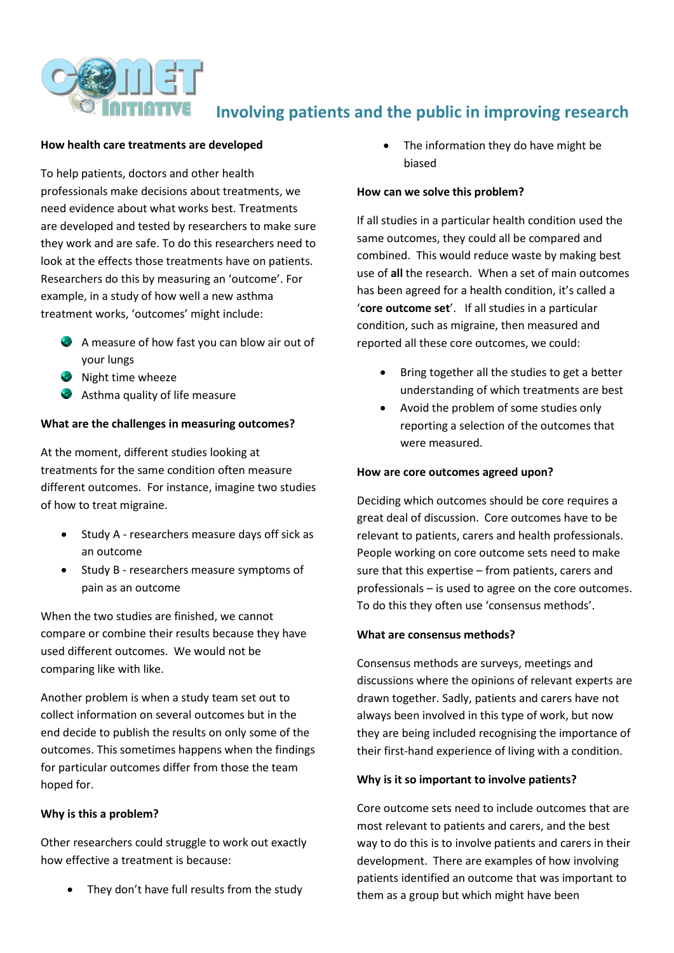

# **Involving patients and the public in improving research**

#### **How health care treatments are developed**

To help patients, doctors and other health professionals make decisions about treatments, we need evidence about what works best. Treatments are developed and tested by researchers to make sure they work and are safe. To do this researchers need to look at the effects those treatments have on patients. Researchers do this by measuring an 'outcome'. For example, in a study of how well a new asthma treatment works, 'outcomes' might include:

- A measure of how fast you can blow air out of your lungs
- Night time wheeze
- Asthma quality of life measure

### **What are the challenges in measuring outcomes?**

At the moment, different studies looking at treatments for the same condition often measure different outcomes. For instance, imagine two studies of how to treat migraine.

- Study A researchers measure days off sick as an outcome
- Study B researchers measure symptoms of pain as an outcome

When the two studies are finished, we cannot compare or combine their results because they have used different outcomes. We would not be comparing like with like.

Another problem is when a study team set out to collect information on several outcomes but in the end decide to publish the results on only some of the outcomes. This sometimes happens when the findings for particular outcomes differ from those the team hoped for.

#### **Why is this a problem?**

Other researchers could struggle to work out exactly how effective a treatment is because:

They don't have full results from the study

 The information they do have might be biased

#### **How can we solve this problem?**

If all studies in a particular health condition used the same outcomes, they could all be compared and combined. This would reduce waste by making best use of **all** the research. When a set of main outcomes has been agreed for a health condition, it's called a '**core outcome set**'. If all studies in a particular condition, such as migraine, then measured and reported all these core outcomes, we could:

- Bring together all the studies to get a better understanding of which treatments are best
- Avoid the problem of some studies only reporting a selection of the outcomes that were measured.

#### **How are core outcomes agreed upon?**

Deciding which outcomes should be core requires a great deal of discussion. Core outcomes have to be relevant to patients, carers and health professionals. People working on core outcome sets need to make sure that this expertise – from patients, carers and professionals – is used to agree on the core outcomes. To do this they often use 'consensus methods'.

#### **What are consensus methods?**

Consensus methods are surveys, meetings and discussions where the opinions of relevant experts are drawn together. Sadly, patients and carers have not always been involved in this type of work, but now they are being included recognising the importance of their first-hand experience of living with a condition.

#### **Why is it so important to involve patients?**

Core outcome sets need to include outcomes that are most relevant to patients and carers, and the best way to do this is to involve patients and carers in their development. There are examples of how involving patients identified an outcome that was important to them as a group but which might have been